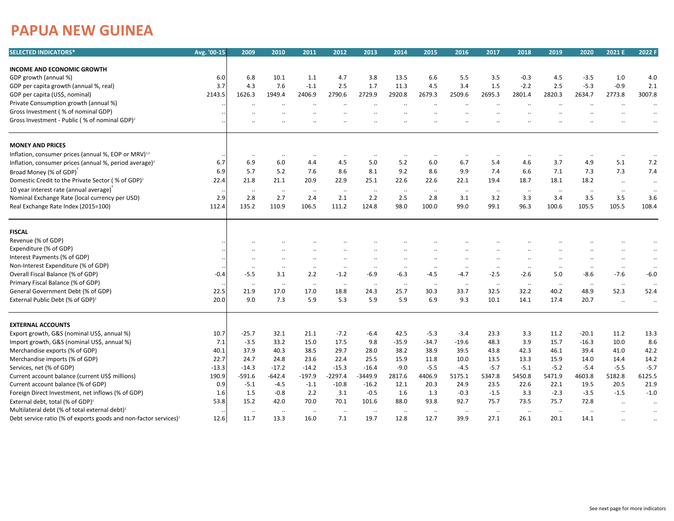## **PAPUA NEW GUINEA**

| <b>SELECTED INDICATORS*</b>                                                  | Avg. '00-15 | 2009                 | 2010                | 2011         | 2012            | 2013                 | 2014         | 2015             | 2016             | 2017            | 2018             | 2019                 | 2020                 | 2021 E               | 2022 F           |
|------------------------------------------------------------------------------|-------------|----------------------|---------------------|--------------|-----------------|----------------------|--------------|------------------|------------------|-----------------|------------------|----------------------|----------------------|----------------------|------------------|
|                                                                              |             |                      |                     |              |                 |                      |              |                  |                  |                 |                  |                      |                      |                      |                  |
| <b>INCOME AND ECONOMIC GROWTH</b>                                            |             |                      |                     |              |                 |                      |              |                  |                  |                 |                  |                      |                      |                      |                  |
| GDP growth (annual %)                                                        | 6.0         | 6.8                  | 10.1                | 1.1          | 4.7             | 3.8                  | 13.5         | 6.6              | 5.5              | 3.5             | $-0.3$           | 4.5                  | $-3.5$               | 1.0                  | 4.0              |
| GDP per capita growth (annual %, real)                                       | 3.7         | 4.3                  | 7.6                 | $-1.1$       | 2.5             | 1.7                  | 11.3         | 4.5              | 3.4              | 1.5             | $-2.2$           | 2.5                  | $-5.3$               | $-0.9$               | 2.1              |
| GDP per capita (US\$, nominal)                                               | 2143.5      | 1626.3               | 1949.4              | 2406.9       | 2790.6          | 2729.9               | 2920.8       | 2679.3           | 2509.6           | 2695.3          | 2801.4           | 2820.3               | 2634.7               | 2773.8               | 3007.8           |
| Private Consumption growth (annual %)                                        |             |                      |                     | $\ddotsc$    | $\cdot$ .       |                      |              |                  |                  |                 |                  |                      | $\ddotsc$            |                      | $\ddotsc$        |
| Gross Investment (% of nominal GDP)                                          |             |                      |                     |              |                 |                      |              |                  |                  |                 |                  |                      |                      |                      |                  |
| Gross Investment - Public (% of nominal GDP) <sup>2</sup>                    |             |                      |                     |              |                 |                      |              |                  |                  |                 |                  |                      |                      |                      |                  |
| <b>MONEY AND PRICES</b>                                                      |             |                      |                     |              |                 |                      |              |                  |                  |                 |                  |                      |                      |                      |                  |
| Inflation, consumer prices (annual %, EOP or MRV) <sup>1,3</sup>             |             | $\cdot\cdot$         | $\cdot\cdot$        | $\ddotsc$    | $\cdot\cdot$    | $\ddotsc$            | $\cdot\cdot$ | $\ldots$         | ٠.               | $\ddotsc$       |                  | $\cdot\cdot$         | $\ddot{\phantom{0}}$ |                      | $\ddotsc$        |
| Inflation, consumer prices (annual %, period average) <sup>3</sup>           | 6.7         | 6.9                  | 6.0                 | 4.4          | 4.5             | 5.0                  | 5.2          | 6.0              | 6.7              | 5.4             | 4.6              | 3.7                  | 4.9                  | 5.1                  | 7.2              |
| Broad Money (% of GDP)                                                       | 6.9         | 5.7                  | 5.2                 | 7.6          | 8.6             | 8.1                  | 9.2          | 8.6              | 9.9              | 7.4             | 6.6              | 7.1                  | 7.3                  | 7.3                  | 7.4              |
| Domestic Credit to the Private Sector (% of GDP) <sup>2</sup>                | 22.4        | 21.8                 | 21.1                | 20.9         | 22.9            | 25.1                 | 22.6         | 22.6             | 22.1             | 19.4            | 18.7             | 18.1                 | 18.2                 | $\ldots$             | $\cdot\cdot$     |
| 10 year interest rate (annual average)                                       |             |                      |                     |              |                 |                      |              |                  |                  |                 |                  |                      |                      |                      |                  |
| Nominal Exchange Rate (local currency per USD)                               | 2.9         | <br>2.8              | $\cdot\cdot$<br>2.7 | <br>2.4      | $\ldots$<br>2.1 | <br>2.2              | <br>2.5      | $\ddotsc$<br>2.8 | $\ddotsc$<br>3.1 | $\ldots$<br>3.2 | $\ddotsc$<br>3.3 | $\ldots$<br>3.4      | $\ddotsc$<br>3.5     | <br>3.5              | $\ddotsc$<br>3.6 |
| Real Exchange Rate Index (2015=100)                                          | 112.4       | 135.2                | 110.9               | 106.5        | 111.2           | 124.8                | 98.0         | 100.0            | 99.0             | 99.1            | 96.3             | 100.6                | 105.5                | 105.5                | 108.4            |
|                                                                              |             |                      |                     |              |                 |                      |              |                  |                  |                 |                  |                      |                      |                      |                  |
| <b>FISCAL</b>                                                                |             |                      |                     |              |                 |                      |              |                  |                  |                 |                  |                      |                      |                      |                  |
| Revenue (% of GDP)                                                           |             |                      |                     |              |                 |                      |              |                  |                  |                 |                  |                      |                      |                      |                  |
| Expenditure (% of GDP)                                                       |             |                      |                     |              |                 |                      |              |                  |                  |                 |                  |                      |                      |                      | $\cdot\cdot$     |
| Interest Payments (% of GDP)                                                 |             | $\ddotsc$            |                     |              |                 | $\ddot{\phantom{0}}$ |              |                  |                  | $\ddotsc$       |                  |                      |                      | $\ddot{\phantom{0}}$ | $\cdot\cdot$     |
| Non-Interest Expenditure (% of GDP)                                          |             |                      | $\cdot \cdot$       | $\ddotsc$    | $\cdot$         |                      |              | $\ddotsc$        | $\ddotsc$        | $\ddotsc$       | $\ddotsc$        | $\ddotsc$            | $\ddotsc$            | $\ddotsc$            | $\ddotsc$        |
| Overall Fiscal Balance (% of GDP)                                            | $-0.4$      | $-5.5$               | 3.1                 | 2.2          | $-1.2$          | $-6.9$               | $-6.3$       | -4.5             | $-4.7$           | $-2.5$          | $-2.6$           | 5.0                  | -8.6                 | $-7.6$               | $-6.0$           |
| Primary Fiscal Balance (% of GDP)                                            |             | $\ddot{\phantom{a}}$ | $\ldots$            | $\cdot\cdot$ | $\cdot\cdot$    | $\ddotsc$            | ٠.           | $\ddotsc$        | $\ddotsc$        | $\ldots$        | $\ddotsc$        | $\ldots$             | $\ddotsc$            | $\cdot\cdot$         | $\ddotsc$        |
| General Government Debt (% of GDP)                                           | 22.5        | 21.9                 | 17.0                | 17.0         | 18.8            | 24.3                 | 25.7         | 30.3             | 33.7             | 32.5            | 32.2             | 40.2                 | 48.9                 | 52.3                 | 52.4             |
| External Public Debt (% of GDP) <sup>2</sup>                                 | 20.0        | 9.0                  | 7.3                 | 5.9          | 5.3             | 5.9                  | 5.9          | 6.9              | 9.3              | 10.1            | 14.1             | 17.4                 | 20.7                 |                      | $\ddotsc$        |
| <b>EXTERNAL ACCOUNTS</b>                                                     |             |                      |                     |              |                 |                      |              |                  |                  |                 |                  |                      |                      |                      |                  |
| Export growth, G&S (nominal US\$, annual %)                                  | 10.7        | $-25.7$              | 32.1                | 21.1         | $-7.2$          | $-6.4$               | 42.5         | $-5.3$           | $-3.4$           | 23.3            | 3.3              | 11.2                 | $-20.1$              | 11.2                 | 13.3             |
| Import growth, G&S (nominal US\$, annual %)                                  | 7.1         | $-3.5$               | 33.2                | 15.0         | 17.5            | 9.8                  | $-35.9$      | $-34.7$          | $-19.6$          | 48.3            | 3.9              | 15.7                 | $-16.3$              | 10.0                 | 8.6              |
| Merchandise exports (% of GDP)                                               | 40.1        | 37.9                 | 40.3                | 38.5         | 29.7            | 28.0                 | 38.2         | 38.9             | 39.5             | 43.8            | 42.3             | 46.1                 | 39.4                 | 41.0                 | 42.2             |
| Merchandise imports (% of GDP)                                               | 22.7        | 24.7                 | 24.8                | 23.6         | 22.4            | 25.5                 | 15.9         | 11.8             | 10.0             | 13.5            | 13.3             | 15.9                 | 14.0                 | 14.4                 | 14.2             |
| Services, net (% of GDP)                                                     | $-13.3$     | $-14.3$              | $-17.2$             | $-14.2$      | $-15.3$         | $-16.4$              | $-9.0$       | $-5.5$           | $-4.5$           | $-5.7$          | $-5.1$           | $-5.2$               | $-5.4$               | $-5.5$               | $-5.7$           |
| Current account balance (current US\$ millions)                              | 190.9       | $-591.6$             | $-642.4$            | $-197.9$     | $-2297.4$       | -3449.9              | 2817.6       | 4406.9           | 5175.1           | 5347.8          | 5450.8           | 5471.9               | 4603.8               | 5182.8               | 6125.5           |
| Current account balance (% of GDP)                                           | 0.9         | $-5.1$               | $-4.5$              | $-1.1$       | $-10.8$         | $-16.2$              | 12.1         | 20.3             | 24.9             | 23.5            | 22.6             | 22.1                 | 19.5                 | 20.5                 | 21.9             |
| Foreign Direct Investment, net inflows (% of GDP)                            | 1.6         | 1.5                  | $-0.8$              | 2.2          | 3.1             | $-0.5$               | 1.6          | 1.3              | $-0.3$           | $-1.5$          | 3.3              | $-2.3$               | $-3.5$               | $-1.5$               | $-1.0$           |
| External debt, total (% of GDP) <sup>2</sup>                                 | 53.8        | 15.2                 | 42.0                | 70.0         | 70.1            | 101.6                | 88.0         | 93.8             | 92.7             | 75.7            | 73.5             | 75.7                 | 72.8                 |                      | $\ddotsc$        |
| Multilateral debt (% of total external debt) <sup>2</sup>                    |             | $\cdot\cdot$         | $\cdot\cdot$        | ٠.           | $\cdot \cdot$   |                      |              | $\ddotsc$        | $\ddotsc$        | $\ddotsc$       | $\ddotsc$        | $\ddot{\phantom{a}}$ | $\ddotsc$            |                      |                  |
| Debt service ratio (% of exports goods and non-factor services) <sup>2</sup> | 12.6        | 11.7                 | 13.3                | 16.0         | 7.1             | 19.7                 | 12.8         | 12.7             | 39.9             | 27.1            | 26.1             | 20.1                 | 14.1                 |                      |                  |